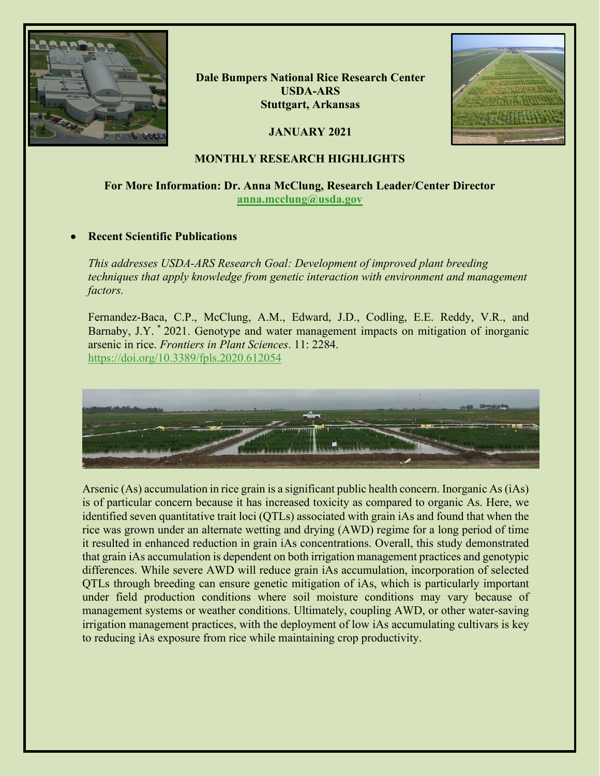

**Dale Bumpers National Rice Research Center USDA-ARS Stuttgart, Arkansas**

**JANUARY 2021**



## **MONTHLY RESEARCH HIGHLIGHTS**

## **For More Information: Dr. Anna McClung, Research Leader/Center Director [anna.mcclung@usda.gov](mailto:anna.mcclung@usda.gov)**

## • **Recent Scientific Publications**

*This addresses USDA-ARS Research Goal: Development of improved plant breeding techniques that apply knowledge from genetic interaction with environment and management factors.*

Fernandez-Baca, C.P., McClung, A.M., Edward, J.D., Codling, E.E. Reddy, V.R., and Barnaby, J.Y. \* 2021. Genotype and water management impacts on mitigation of inorganic arsenic in rice. *Frontiers in Plant Sciences*. 11: 2284. <https://doi.org/10.3389/fpls.2020.612054>



Arsenic (As) accumulation in rice grain is a significant public health concern. Inorganic As (iAs) is of particular concern because it has increased toxicity as compared to organic As. Here, we identified seven quantitative trait loci (QTLs) associated with grain iAs and found that when the rice was grown under an alternate wetting and drying (AWD) regime for a long period of time it resulted in enhanced reduction in grain iAs concentrations. Overall, this study demonstrated that grain iAs accumulation is dependent on both irrigation management practices and genotypic differences. While severe AWD will reduce grain iAs accumulation, incorporation of selected QTLs through breeding can ensure genetic mitigation of iAs, which is particularly important under field production conditions where soil moisture conditions may vary because of management systems or weather conditions. Ultimately, coupling AWD, or other water-saving irrigation management practices, with the deployment of low iAs accumulating cultivars is key to reducing iAs exposure from rice while maintaining crop productivity.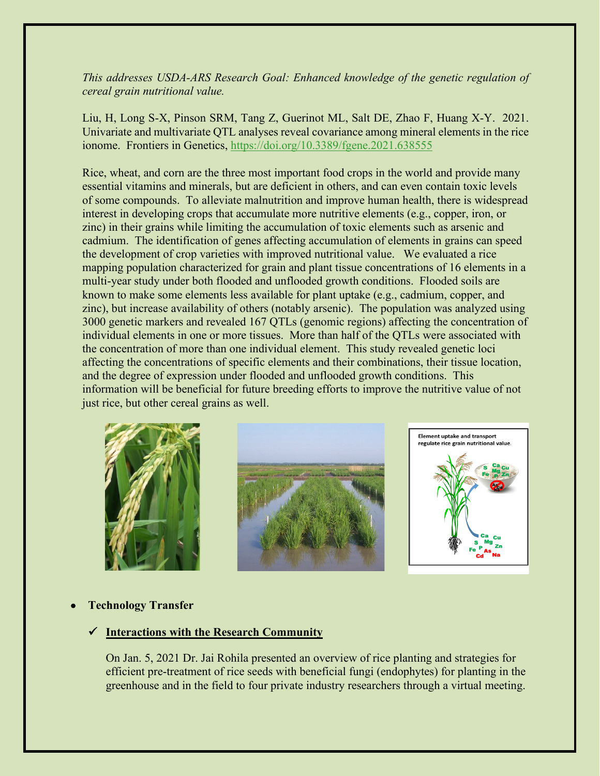*This addresses USDA-ARS Research Goal: Enhanced knowledge of the genetic regulation of cereal grain nutritional value.* 

Liu, H, Long S-X, Pinson SRM, Tang Z, Guerinot ML, Salt DE, Zhao F, Huang X-Y. 2021. Univariate and multivariate QTL analyses reveal covariance among mineral elements in the rice ionome. Frontiers in Genetics,<https://doi.org/10.3389/fgene.2021.638555>

Rice, wheat, and corn are the three most important food crops in the world and provide many essential vitamins and minerals, but are deficient in others, and can even contain toxic levels of some compounds. To alleviate malnutrition and improve human health, there is widespread interest in developing crops that accumulate more nutritive elements (e.g., copper, iron, or zinc) in their grains while limiting the accumulation of toxic elements such as arsenic and cadmium. The identification of genes affecting accumulation of elements in grains can speed the development of crop varieties with improved nutritional value. We evaluated a rice mapping population characterized for grain and plant tissue concentrations of 16 elements in a multi-year study under both flooded and unflooded growth conditions. Flooded soils are known to make some elements less available for plant uptake (e.g., cadmium, copper, and zinc), but increase availability of others (notably arsenic). The population was analyzed using 3000 genetic markers and revealed 167 QTLs (genomic regions) affecting the concentration of individual elements in one or more tissues. More than half of the QTLs were associated with the concentration of more than one individual element. This study revealed genetic loci affecting the concentrations of specific elements and their combinations, their tissue location, and the degree of expression under flooded and unflooded growth conditions. This information will be beneficial for future breeding efforts to improve the nutritive value of not just rice, but other cereal grains as well.







# • **Technology Transfer**

# **Interactions with the Research Community**

On Jan. 5, 2021 Dr. Jai Rohila presented an overview of rice planting and strategies for efficient pre-treatment of rice seeds with beneficial fungi (endophytes) for planting in the greenhouse and in the field to four private industry researchers through a virtual meeting.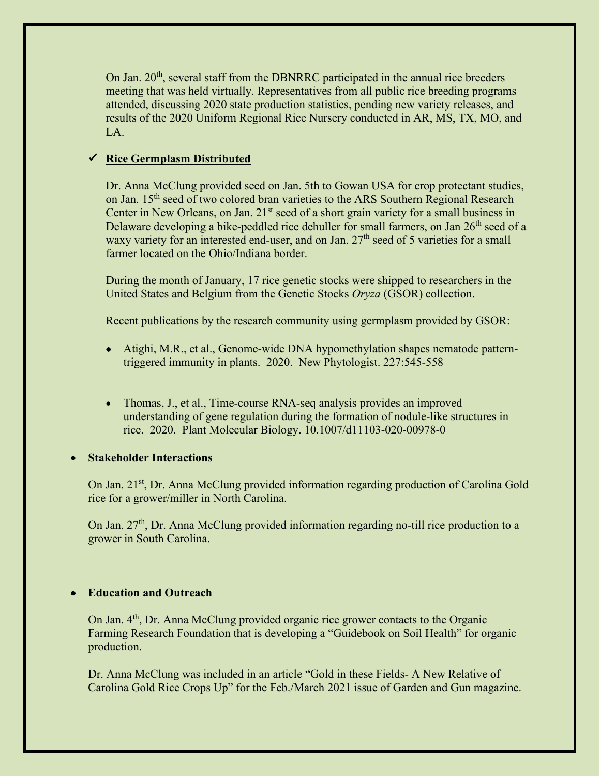On Jan. 20<sup>th</sup>, several staff from the DBNRRC participated in the annual rice breeders meeting that was held virtually. Representatives from all public rice breeding programs attended, discussing 2020 state production statistics, pending new variety releases, and results of the 2020 Uniform Regional Rice Nursery conducted in AR, MS, TX, MO, and  $L_A$ 

## **Rice Germplasm Distributed**

Dr. Anna McClung provided seed on Jan. 5th to Gowan USA for crop protectant studies, on Jan. 15<sup>th</sup> seed of two colored bran varieties to the ARS Southern Regional Research Center in New Orleans, on Jan. 21<sup>st</sup> seed of a short grain variety for a small business in Delaware developing a bike-peddled rice dehuller for small farmers, on Jan  $26<sup>th</sup>$  seed of a waxy variety for an interested end-user, and on Jan.  $27<sup>th</sup>$  seed of 5 varieties for a small farmer located on the Ohio/Indiana border.

During the month of January, 17 rice genetic stocks were shipped to researchers in the United States and Belgium from the Genetic Stocks *Oryza* (GSOR) collection.

Recent publications by the research community using germplasm provided by GSOR:

- Atighi, M.R., et al., Genome-wide DNA hypomethylation shapes nematode patterntriggered immunity in plants. 2020. New Phytologist. 227:545-558
- Thomas, J., et al., Time-course RNA-seq analysis provides an improved understanding of gene regulation during the formation of nodule-like structures in rice. 2020. Plant Molecular Biology. 10.1007/d11103-020-00978-0

### • **Stakeholder Interactions**

On Jan. 21<sup>st</sup>, Dr. Anna McClung provided information regarding production of Carolina Gold rice for a grower/miller in North Carolina.

On Jan. 27<sup>th</sup>, Dr. Anna McClung provided information regarding no-till rice production to a grower in South Carolina.

## • **Education and Outreach**

On Jan.  $4<sup>th</sup>$ , Dr. Anna McClung provided organic rice grower contacts to the Organic Farming Research Foundation that is developing a "Guidebook on Soil Health" for organic production.

Dr. Anna McClung was included in an article "Gold in these Fields- A New Relative of Carolina Gold Rice Crops Up" for the Feb./March 2021 issue of Garden and Gun magazine.